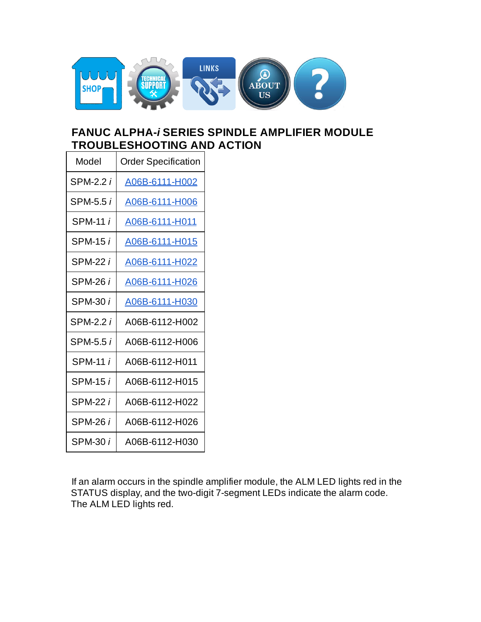

# **FANUC ALPHA-***i* **SERIES SPINDLE AMPLIFIER MODULE TROUBLESHOOTING AND ACTION**

| Model           | <b>Order Specification</b> |
|-----------------|----------------------------|
| SPM-2.2 i       | A06B-6111-H002             |
| SPM-5.5 i       | A06B-6111-H006             |
| SPM-11 <i>i</i> | A06B-6111-H011             |
| SPM-15 i        | A06B-6111-H015             |
| SPM-22 i        | A06B-6111-H022             |
| SPM-26 i        | A06B-6111-H026             |
| SPM-30 i        | A06B-6111-H030             |
| SPM-2.2 i       | A06B-6112-H002             |
| SPM-5.5 i       | A06B-6112-H006             |
| SPM-11 i        | A06B-6112-H011             |
| SPM-15 i        | A06B-6112-H015             |
| SPM-22 i        | A06B-6112-H022             |
| SPM-26 i        | A06B-6112-H026             |
| SPM-30 i        | A06B-6112-H030             |

If an alarm occurs in the spindle amplifier module, the ALM LED lights red in the STATUS display, and the two-digit 7-segment LEDs indicate the alarm code. The ALM LED lights red.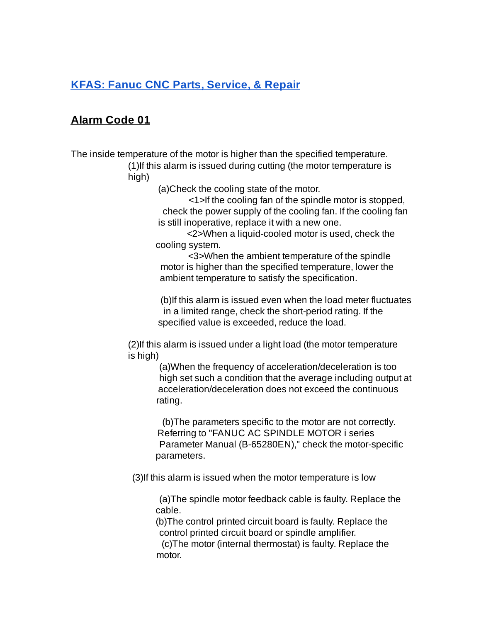# **Alarm Code 01**

The inside temperature of the motor is higher than the specified temperature.

(1)If this alarm is issued during cutting (the motor temperature is high)

(a)Check the cooling state of the motor.

<1>If the cooling fan of the spindle motor is stopped, check the power supply of the cooling fan. If the cooling fan is still inoperative, replace it with a new one.

<2>When a liquid-cooled motor is used, check the cooling system.

<3>When the ambient temperature of the spindle motor is higher than the specified temperature, lower the ambient temperature to satisfy the specification.

(b)If this alarm is issued even when the load meter fluctuates in a limited range, check the short-period rating. If the specified value is exceeded, reduce the load.

(2)If this alarm is issued under a light load (the motor temperature is high)

> (a)When the frequency of acceleration/deceleration is too high set such a condition that the average including output at acceleration/deceleration does not exceed the continuous rating.

(b)The parameters specific to the motor are not correctly. Referring to "FANUC AC SPINDLE MOTOR i series Parameter Manual (B-65280EN)," check the motor-specific parameters.

(3)If this alarm is issued when the motor temperature is low

(a)The spindle motor feedback cable is faulty. Replace the cable.

(b)The control printed circuit board is faulty. Replace the control printed circuit board or spindle amplifier.

(c)The motor (internal thermostat) is faulty. Replace the motor.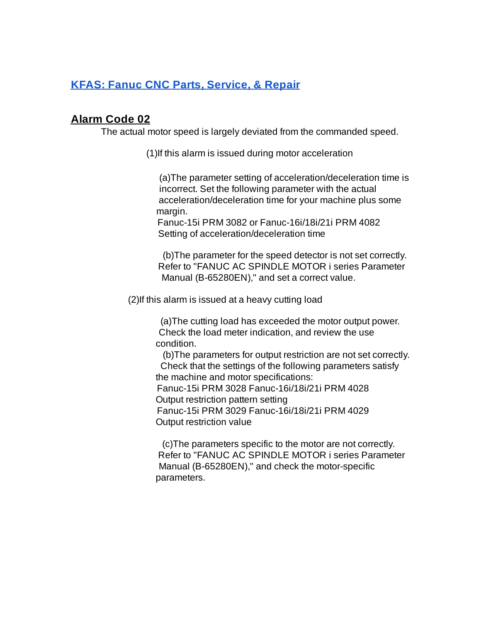#### **Alarm Code 02**

The actual motor speed is largely deviated from the commanded speed.

(1)If this alarm is issued during motor acceleration

(a)The parameter setting of acceleration/deceleration time is incorrect. Set the following parameter with the actual acceleration/deceleration time for your machine plus some margin.

Fanuc-15i PRM 3082 or Fanuc-16i/18i/21i PRM 4082 Setting of acceleration/deceleration time

(b)The parameter for the speed detector is not set correctly. Refer to "FANUC AC SPINDLE MOTOR i series Parameter Manual (B-65280EN)," and set a correct value.

(2)If this alarm is issued at a heavy cutting load

(a)The cutting load has exceeded the motor output power. Check the load meter indication, and review the use condition.

(b)The parameters for output restriction are not set correctly. Check that the settings of the following parameters satisfy the machine and motor specifications: Fanuc-15i PRM 3028 Fanuc-16i/18i/21i PRM 4028 Output restriction pattern setting Fanuc-15i PRM 3029 Fanuc-16i/18i/21i PRM 4029 Output restriction value

(c)The parameters specific to the motor are not correctly. Refer to "FANUC AC SPINDLE MOTOR i series Parameter Manual (B-65280EN)," and check the motor-specific parameters.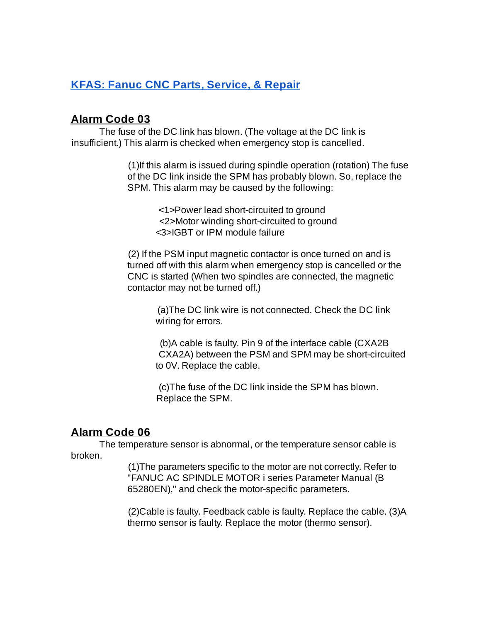#### **Alarm Code 03**

The fuse of the DC link has blown. (The voltage at the DC link is insufficient.) This alarm is checked when emergency stop is cancelled.

> (1)If this alarm is issued during spindle operation (rotation) The fuse of the DC link inside the SPM has probably blown. So, replace the SPM. This alarm may be caused by the following:

> > <1>Power lead short-circuited to ground <2>Motor winding short-circuited to ground <3>IGBT or IPM module failure

(2) If the PSM input magnetic contactor is once turned on and is turned off with this alarm when emergency stop is cancelled or the CNC is started (When two spindles are connected, the magnetic contactor may not be turned off.)

> (a)The DC link wire is not connected. Check the DC link wiring for errors.

(b)A cable is faulty. Pin 9 of the interface cable (CXA2B CXA2A) between the PSM and SPM may be short-circuited to 0V. Replace the cable.

(c)The fuse of the DC link inside the SPM has blown. Replace the SPM.

#### **Alarm Code 06**

The temperature sensor is abnormal, or the temperature sensor cable is broken.

> (1)The parameters specific to the motor are not correctly. Refer to "FANUC AC SPINDLE MOTOR i series Parameter Manual (B 65280EN)," and check the motor-specific parameters.

(2)Cable is faulty. Feedback cable is faulty. Replace the cable. (3)A thermo sensor is faulty. Replace the motor (thermo sensor).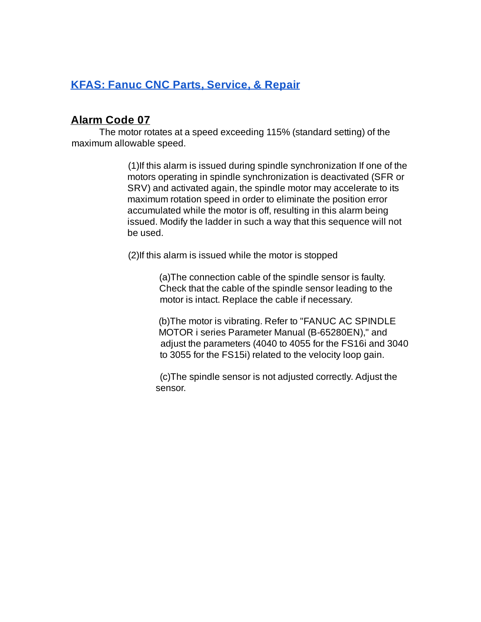### **Alarm Code 07**

The motor rotates at a speed exceeding 115% (standard setting) of the maximum allowable speed.

> (1)If this alarm is issued during spindle synchronization If one of the motors operating in spindle synchronization is deactivated (SFR or SRV) and activated again, the spindle motor may accelerate to its maximum rotation speed in order to eliminate the position error accumulated while the motor is off, resulting in this alarm being issued. Modify the ladder in such a way that this sequence will not be used.

(2)If this alarm is issued while the motor is stopped

(a)The connection cable of the spindle sensor is faulty. Check that the cable of the spindle sensor leading to the motor is intact. Replace the cable if necessary.

(b)The motor is vibrating. Refer to "FANUC AC SPINDLE MOTOR i series Parameter Manual (B-65280EN)," and adjust the parameters (4040 to 4055 for the FS16i and 3040 to 3055 for the FS15i) related to the velocity loop gain.

(c)The spindle sensor is not adjusted correctly. Adjust the sensor.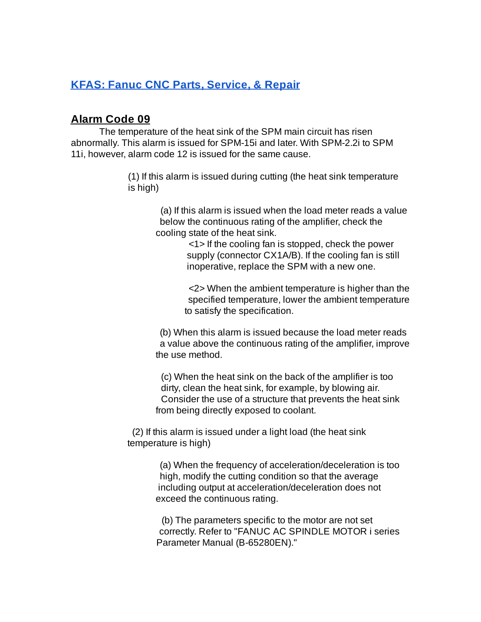#### **Alarm Code 09**

The temperature of the heat sink of the SPM main circuit has risen abnormally. This alarm is issued for SPM-15i and later. With SPM-2.2i to SPM 11i, however, alarm code 12 is issued for the same cause.

> (1) If this alarm is issued during cutting (the heat sink temperature is high)

> > (a) If this alarm is issued when the load meter reads a value below the continuous rating of the amplifier, check the cooling state of the heat sink.

> > > <1> If the cooling fan is stopped, check the power supply (connector CX1A/B). If the cooling fan is still inoperative, replace the SPM with a new one.

<2> When the ambient temperature is higher than the specified temperature, lower the ambient temperature to satisfy the specification.

(b) When this alarm is issued because the load meter reads a value above the continuous rating of the amplifier, improve the use method.

(c) When the heat sink on the back of the amplifier is too dirty, clean the heat sink, for example, by blowing air. Consider the use of a structure that prevents the heat sink from being directly exposed to coolant.

(2) If this alarm is issued under a light load (the heat sink temperature is high)

> (a) When the frequency of acceleration/deceleration is too high, modify the cutting condition so that the average including output at acceleration/deceleration does not exceed the continuous rating.

> (b) The parameters specific to the motor are not set correctly. Refer to "FANUC AC SPINDLE MOTOR i series Parameter Manual (B-65280EN)."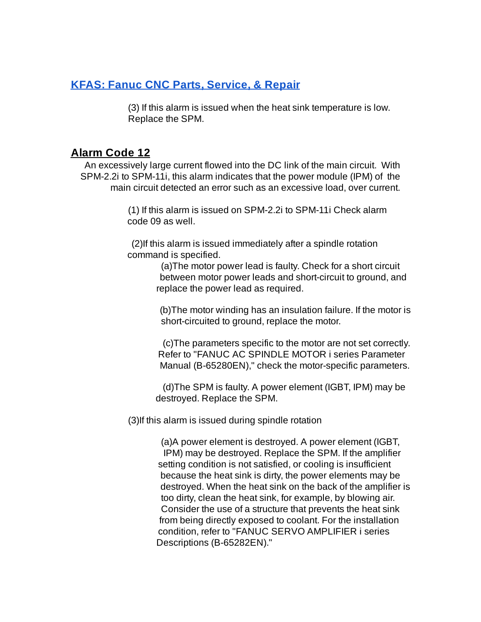(3) If this alarm is issued when the heat sink temperature is low. Replace the SPM.

#### **Alarm Code 12**

An excessively large current flowed into the DC link of the main circuit. With SPM-2.2i to SPM-11i, this alarm indicates that the power module (IPM) of the main circuit detected an error such as an excessive load, over current.

> (1) If this alarm is issued on SPM-2.2i to SPM-11i Check alarm code 09 as well.

(2)If this alarm is issued immediately after a spindle rotation command is specified.

> (a)The motor power lead is faulty. Check for a short circuit between motor power leads and short-circuit to ground, and replace the power lead as required.

(b)The motor winding has an insulation failure. If the motor is short-circuited to ground, replace the motor.

(c)The parameters specific to the motor are not set correctly. Refer to "FANUC AC SPINDLE MOTOR i series Parameter Manual (B-65280EN)," check the motor-specific parameters.

(d)The SPM is faulty. A power element (IGBT, IPM) may be destroyed. Replace the SPM.

(3)If this alarm is issued during spindle rotation

(a)A power element is destroyed. A power element (IGBT, IPM) may be destroyed. Replace the SPM. If the amplifier setting condition is not satisfied, or cooling is insufficient because the heat sink is dirty, the power elements may be destroyed. When the heat sink on the back of the amplifier is too dirty, clean the heat sink, for example, by blowing air. Consider the use of a structure that prevents the heat sink from being directly exposed to coolant. For the installation condition, refer to "FANUC SERVO AMPLIFIER i series Descriptions (B-65282EN)."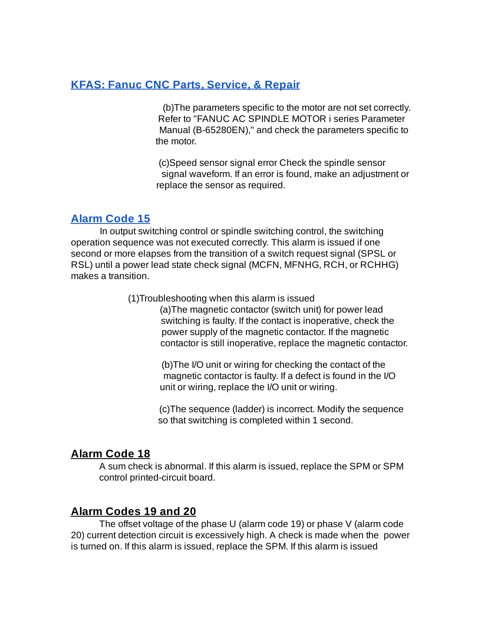(b)The parameters specific to the motor are not set correctly. Refer to "FANUC AC SPINDLE MOTOR i series Parameter Manual (B-65280EN)," and check the parameters specific to the motor.

(c)Speed sensor signal error Check the spindle sensor signal waveform. If an error is found, make an adjustment or replace the sensor as required.

### **[Alarm](https://www.youtube.com/watch?v=mVVjYkVA2SA) Code 15**

In output switching control or spindle switching control, the switching operation sequence was not executed correctly. This alarm is issued if one second or more elapses from the transition of a switch request signal (SPSL or RSL) until a power lead state check signal (MCFN, MFNHG, RCH, or RCHHG) makes a transition.

#### (1)Troubleshooting when this alarm is issued

(a)The magnetic contactor (switch unit) for power lead switching is faulty. If the contact is inoperative, check the power supply of the magnetic contactor. If the magnetic contactor is still inoperative, replace the magnetic contactor.

(b)The I/O unit or wiring for checking the contact of the magnetic contactor is faulty. If a defect is found in the I/O unit or wiring, replace the I/O unit or wiring.

(c)The sequence (ladder) is incorrect. Modify the sequence so that switching is completed within 1 second.

### **Alarm Code 18**

A sum check is abnormal. If this alarm is issued, replace the SPM or SPM control printed-circuit board.

### **Alarm Codes 19 and 20**

The offset voltage of the phase U (alarm code 19) or phase V (alarm code 20) current detection circuit is excessively high. A check is made when the power is turned on. If this alarm is issued, replace the SPM. If this alarm is issued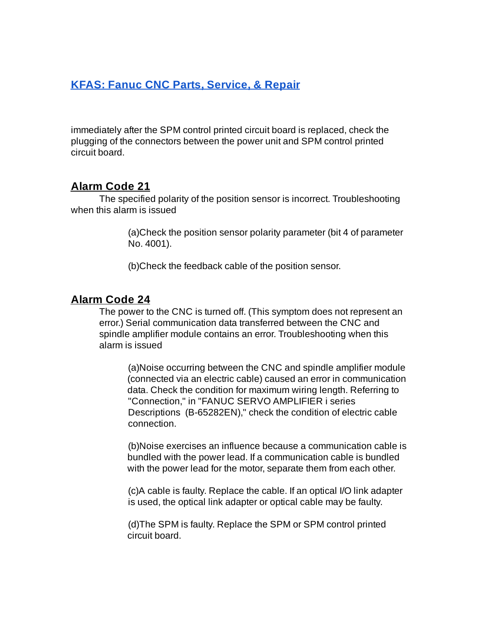immediately after the SPM control printed circuit board is replaced, check the plugging of the connectors between the power unit and SPM control printed circuit board.

### **Alarm Code 21**

The specified polarity of the position sensor is incorrect. Troubleshooting when this alarm is issued

> (a)Check the position sensor polarity parameter (bit 4 of parameter No. 4001).

(b)Check the feedback cable of the position sensor.

#### **Alarm Code 24**

The power to the CNC is turned off. (This symptom does not represent an error.) Serial communication data transferred between the CNC and spindle amplifier module contains an error. Troubleshooting when this alarm is issued

(a)Noise occurring between the CNC and spindle amplifier module (connected via an electric cable) caused an error in communication data. Check the condition for maximum wiring length. Referring to "Connection," in "FANUC SERVO AMPLIFIER i series Descriptions (B-65282EN)," check the condition of electric cable connection.

(b)Noise exercises an influence because a communication cable is bundled with the power lead. If a communication cable is bundled with the power lead for the motor, separate them from each other.

(c)A cable is faulty. Replace the cable. If an optical I/O link adapter is used, the optical link adapter or optical cable may be faulty.

(d)The SPM is faulty. Replace the SPM or SPM control printed circuit board.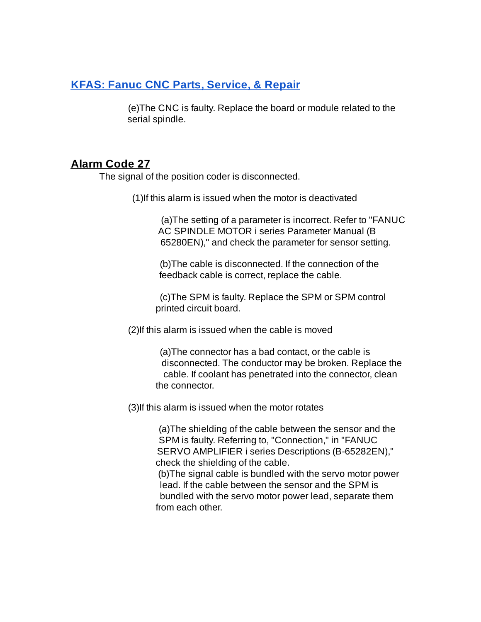(e)The CNC is faulty. Replace the board or module related to the serial spindle.

### **Alarm Code 27**

The signal of the position coder is disconnected.

(1)If this alarm is issued when the motor is deactivated

(a)The setting of a parameter is incorrect. Refer to "FANUC AC SPINDLE MOTOR i series Parameter Manual (B 65280EN)," and check the parameter for sensor setting.

(b)The cable is disconnected. If the connection of the feedback cable is correct, replace the cable.

(c)The SPM is faulty. Replace the SPM or SPM control printed circuit board.

(2)If this alarm is issued when the cable is moved

(a)The connector has a bad contact, or the cable is disconnected. The conductor may be broken. Replace the cable. If coolant has penetrated into the connector, clean the connector.

(3)If this alarm is issued when the motor rotates

(a)The shielding of the cable between the sensor and the SPM is faulty. Referring to, "Connection," in "FANUC SERVO AMPLIFIER i series Descriptions (B-65282EN)," check the shielding of the cable.

(b)The signal cable is bundled with the servo motor power lead. If the cable between the sensor and the SPM is bundled with the servo motor power lead, separate them from each other.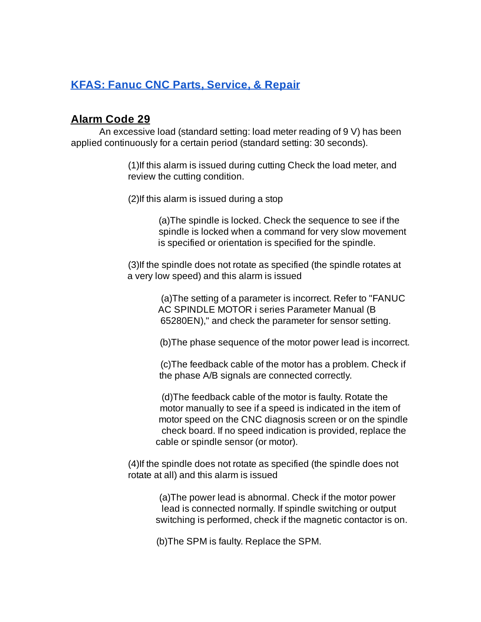#### **Alarm Code 29**

An excessive load (standard setting: load meter reading of 9 V) has been applied continuously for a certain period (standard setting: 30 seconds).

> (1)If this alarm is issued during cutting Check the load meter, and review the cutting condition.

(2)If this alarm is issued during a stop

(a)The spindle is locked. Check the sequence to see if the spindle is locked when a command for very slow movement is specified or orientation is specified for the spindle.

(3)If the spindle does not rotate as specified (the spindle rotates at a very low speed) and this alarm is issued

> (a)The setting of a parameter is incorrect. Refer to "FANUC AC SPINDLE MOTOR i series Parameter Manual (B 65280EN)," and check the parameter for sensor setting.

(b)The phase sequence of the motor power lead is incorrect.

(c)The feedback cable of the motor has a problem. Check if the phase A/B signals are connected correctly.

(d)The feedback cable of the motor is faulty. Rotate the motor manually to see if a speed is indicated in the item of motor speed on the CNC diagnosis screen or on the spindle check board. If no speed indication is provided, replace the cable or spindle sensor (or motor).

(4)If the spindle does not rotate as specified (the spindle does not rotate at all) and this alarm is issued

> (a)The power lead is abnormal. Check if the motor power lead is connected normally. If spindle switching or output switching is performed, check if the magnetic contactor is on.

(b)The SPM is faulty. Replace the SPM.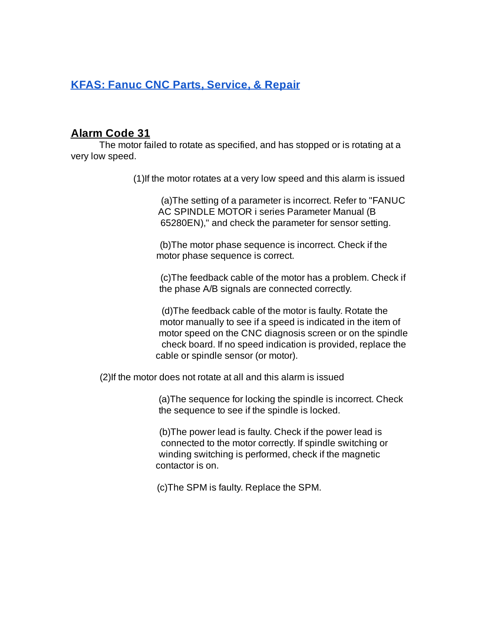### **Alarm Code 31**

The motor failed to rotate as specified, and has stopped or is rotating at a very low speed.

(1)If the motor rotates at a very low speed and this alarm is issued

(a)The setting of a parameter is incorrect. Refer to "FANUC AC SPINDLE MOTOR i series Parameter Manual (B 65280EN)," and check the parameter for sensor setting.

(b)The motor phase sequence is incorrect. Check if the motor phase sequence is correct.

(c)The feedback cable of the motor has a problem. Check if the phase A/B signals are connected correctly.

(d)The feedback cable of the motor is faulty. Rotate the motor manually to see if a speed is indicated in the item of motor speed on the CNC diagnosis screen or on the spindle check board. If no speed indication is provided, replace the cable or spindle sensor (or motor).

(2)If the motor does not rotate at all and this alarm is issued

(a)The sequence for locking the spindle is incorrect. Check the sequence to see if the spindle is locked.

(b)The power lead is faulty. Check if the power lead is connected to the motor correctly. If spindle switching or winding switching is performed, check if the magnetic contactor is on.

(c)The SPM is faulty. Replace the SPM.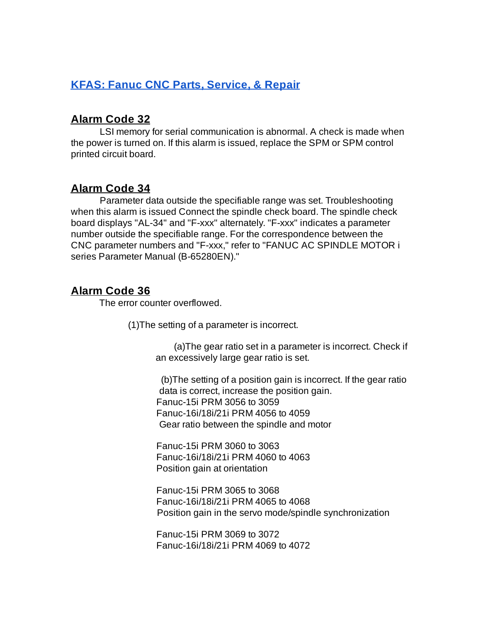#### **Alarm Code 32**

LSI memory for serial communication is abnormal. A check is made when the power is turned on. If this alarm is issued, replace the SPM or SPM control printed circuit board.

### **Alarm Code 34**

Parameter data outside the specifiable range was set. Troubleshooting when this alarm is issued Connect the spindle check board. The spindle check board displays "AL-34" and "F-xxx" alternately. "F-xxx" indicates a parameter number outside the specifiable range. For the correspondence between the CNC parameter numbers and "F-xxx," refer to "FANUC AC SPINDLE MOTOR i series Parameter Manual (B-65280EN)."

# **Alarm Code 36**

The error counter overflowed.

(1)The setting of a parameter is incorrect.

(a)The gear ratio set in a parameter is incorrect. Check if an excessively large gear ratio is set.

(b)The setting of a position gain is incorrect. If the gear ratio data is correct, increase the position gain. Fanuc-15i PRM 3056 to 3059 Fanuc-16i/18i/21i PRM 4056 to 4059 Gear ratio between the spindle and motor

Fanuc-15i PRM 3060 to 3063 Fanuc-16i/18i/21i PRM 4060 to 4063 Position gain at orientation

Fanuc-15i PRM 3065 to 3068 Fanuc-16i/18i/21i PRM 4065 to 4068 Position gain in the servo mode/spindle synchronization

Fanuc-15i PRM 3069 to 3072 Fanuc-16i/18i/21i PRM 4069 to 4072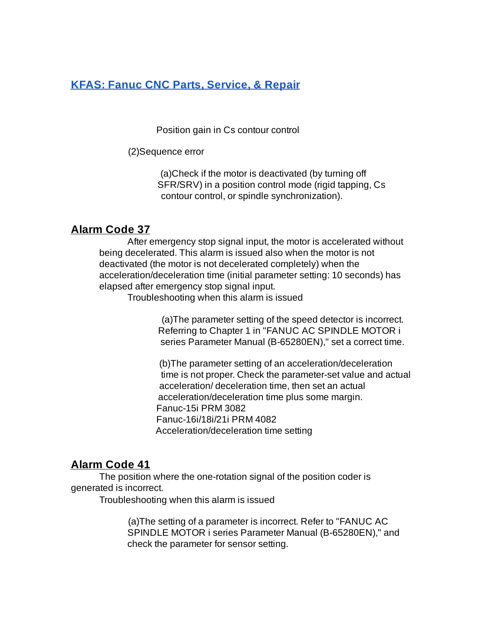Position gain in Cs contour control

(2)Sequence error

(a)Check if the motor is deactivated (by turning off SFR/SRV) in a position control mode (rigid tapping, Cs contour control, or spindle synchronization).

### **Alarm Code 37**

After emergency stop signal input, the motor is accelerated without being decelerated. This alarm is issued also when the motor is not deactivated (the motor is not decelerated completely) when the acceleration/deceleration time (initial parameter setting: 10 seconds) has elapsed after emergency stop signal input.

Troubleshooting when this alarm is issued

(a)The parameter setting of the speed detector is incorrect. Referring to Chapter 1 in "FANUC AC SPINDLE MOTOR i series Parameter Manual (B-65280EN)," set a correct time.

(b)The parameter setting of an acceleration/deceleration time is not proper. Check the parameter-set value and actual acceleration/ deceleration time, then set an actual acceleration/deceleration time plus some margin. Fanuc-15i PRM 3082 Fanuc-16i/18i/21i PRM 4082 Acceleration/deceleration time setting

### **Alarm Code 41**

The position where the one-rotation signal of the position coder is generated is incorrect.

Troubleshooting when this alarm is issued

(a)The setting of a parameter is incorrect. Refer to "FANUC AC SPINDLE MOTOR i series Parameter Manual (B-65280EN)," and check the parameter for sensor setting.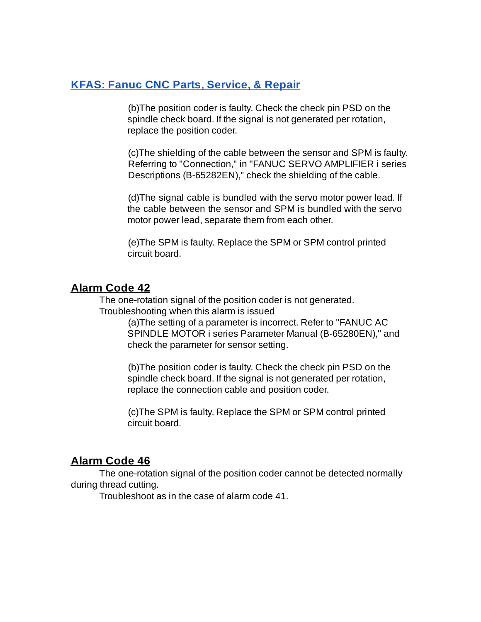(b)The position coder is faulty. Check the check pin PSD on the spindle check board. If the signal is not generated per rotation, replace the position coder.

(c)The shielding of the cable between the sensor and SPM is faulty. Referring to "Connection," in "FANUC SERVO AMPLIFIER i series Descriptions (B-65282EN)," check the shielding of the cable.

(d)The signal cable is bundled with the servo motor power lead. If the cable between the sensor and SPM is bundled with the servo motor power lead, separate them from each other.

(e)The SPM is faulty. Replace the SPM or SPM control printed circuit board.

#### **Alarm Code 42**

The one-rotation signal of the position coder is not generated. Troubleshooting when this alarm is issued

> (a)The setting of a parameter is incorrect. Refer to "FANUC AC SPINDLE MOTOR i series Parameter Manual (B-65280EN)," and check the parameter for sensor setting.

(b)The position coder is faulty. Check the check pin PSD on the spindle check board. If the signal is not generated per rotation, replace the connection cable and position coder.

(c)The SPM is faulty. Replace the SPM or SPM control printed circuit board.

### **Alarm Code 46**

The one-rotation signal of the position coder cannot be detected normally during thread cutting.

Troubleshoot as in the case of alarm code 41.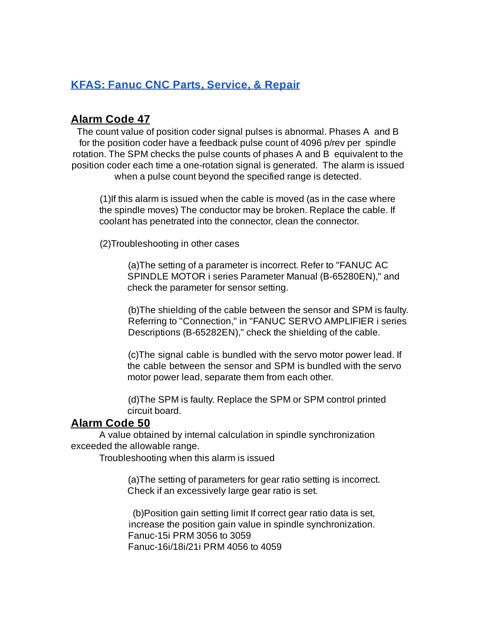#### **Alarm Code 47**

The count value of position coder signal pulses is abnormal. Phases A and B for the position coder have a feedback pulse count of 4096 p/rev per spindle rotation. The SPM checks the pulse counts of phases A and B equivalent to the position coder each time a one-rotation signal is generated. The alarm is issued when a pulse count beyond the specified range is detected.

(1)If this alarm is issued when the cable is moved (as in the case where the spindle moves) The conductor may be broken. Replace the cable. If coolant has penetrated into the connector, clean the connector.

(2)Troubleshooting in other cases

(a)The setting of a parameter is incorrect. Refer to "FANUC AC SPINDLE MOTOR i series Parameter Manual (B-65280EN)," and check the parameter for sensor setting.

(b)The shielding of the cable between the sensor and SPM is faulty. Referring to "Connection," in "FANUC SERVO AMPLIFIER i series Descriptions (B-65282EN)," check the shielding of the cable.

(c)The signal cable is bundled with the servo motor power lead. If the cable between the sensor and SPM is bundled with the servo motor power lead, separate them from each other.

(d)The SPM is faulty. Replace the SPM or SPM control printed circuit board.

#### **Alarm Code 50**

A value obtained by internal calculation in spindle synchronization exceeded the allowable range.

Troubleshooting when this alarm is issued

(a)The setting of parameters for gear ratio setting is incorrect. Check if an excessively large gear ratio is set.

(b)Position gain setting limit If correct gear ratio data is set, increase the position gain value in spindle synchronization. Fanuc-15i PRM 3056 to 3059 Fanuc-16i/18i/21i PRM 4056 to 4059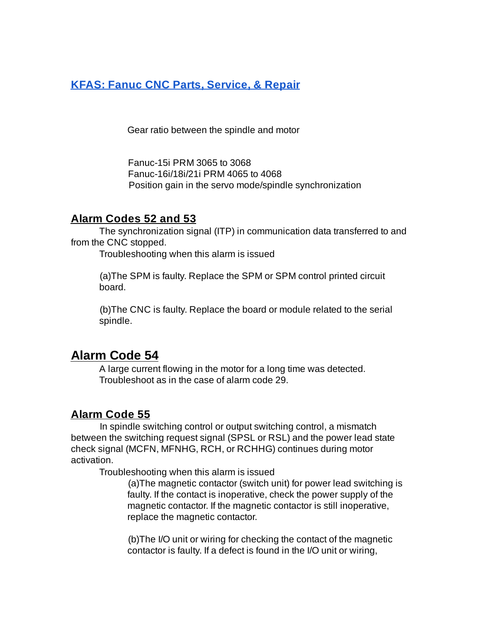Gear ratio between the spindle and motor

Fanuc-15i PRM 3065 to 3068 Fanuc-16i/18i/21i PRM 4065 to 4068 Position gain in the servo mode/spindle synchronization

#### **Alarm Codes 52 and 53**

The synchronization signal (ITP) in communication data transferred to and from the CNC stopped.

Troubleshooting when this alarm is issued

(a)The SPM is faulty. Replace the SPM or SPM control printed circuit board.

(b)The CNC is faulty. Replace the board or module related to the serial spindle.

# **Alarm Code 54**

A large current flowing in the motor for a long time was detected. Troubleshoot as in the case of alarm code 29.

### **Alarm Code 55**

In spindle switching control or output switching control, a mismatch between the switching request signal (SPSL or RSL) and the power lead state check signal (MCFN, MFNHG, RCH, or RCHHG) continues during motor activation.

Troubleshooting when this alarm is issued

(a)The magnetic contactor (switch unit) for power lead switching is faulty. If the contact is inoperative, check the power supply of the magnetic contactor. If the magnetic contactor is still inoperative, replace the magnetic contactor.

(b)The I/O unit or wiring for checking the contact of the magnetic contactor is faulty. If a defect is found in the I/O unit or wiring,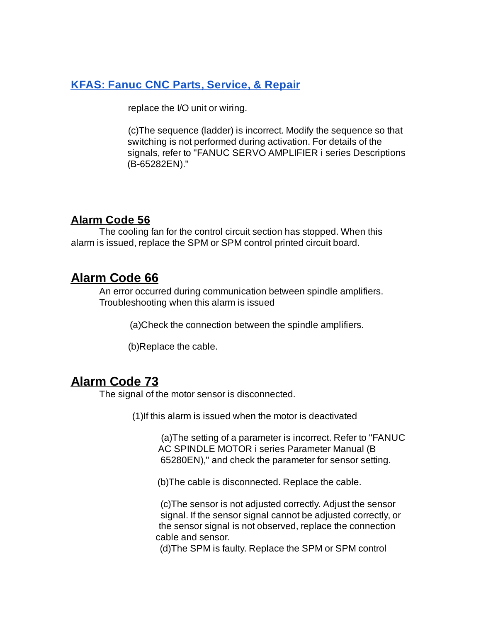replace the I/O unit or wiring.

(c)The sequence (ladder) is incorrect. Modify the sequence so that switching is not performed during activation. For details of the signals, refer to "FANUC SERVO AMPLIFIER i series Descriptions (B-65282EN)."

#### **Alarm Code 56**

The cooling fan for the control circuit section has stopped. When this alarm is issued, replace the SPM or SPM control printed circuit board.

# **Alarm Code 66**

An error occurred during communication between spindle amplifiers. Troubleshooting when this alarm is issued

(a)Check the connection between the spindle amplifiers.

(b)Replace the cable.

# **Alarm Code 73**

The signal of the motor sensor is disconnected.

(1)If this alarm is issued when the motor is deactivated

(a)The setting of a parameter is incorrect. Refer to "FANUC AC SPINDLE MOTOR i series Parameter Manual (B 65280EN)," and check the parameter for sensor setting.

(b)The cable is disconnected. Replace the cable.

(c)The sensor is not adjusted correctly. Adjust the sensor signal. If the sensor signal cannot be adjusted correctly, or the sensor signal is not observed, replace the connection cable and sensor.

(d)The SPM is faulty. Replace the SPM or SPM control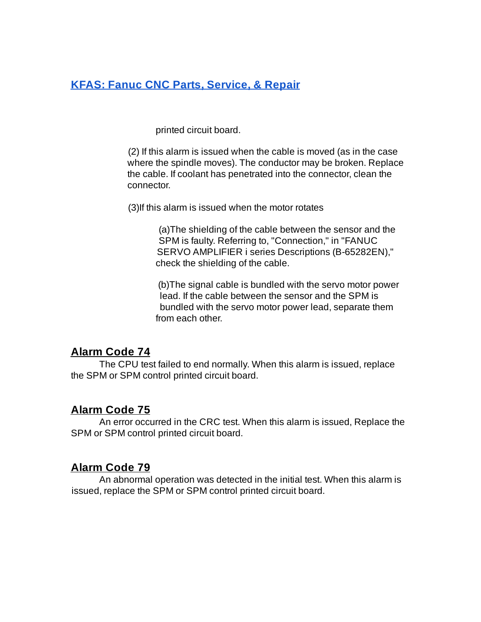printed circuit board.

(2) If this alarm is issued when the cable is moved (as in the case where the spindle moves). The conductor may be broken. Replace the cable. If coolant has penetrated into the connector, clean the connector.

(3)If this alarm is issued when the motor rotates

(a)The shielding of the cable between the sensor and the SPM is faulty. Referring to, "Connection," in "FANUC SERVO AMPLIFIER i series Descriptions (B-65282EN)," check the shielding of the cable.

(b)The signal cable is bundled with the servo motor power lead. If the cable between the sensor and the SPM is bundled with the servo motor power lead, separate them from each other.

#### **Alarm Code 74**

The CPU test failed to end normally. When this alarm is issued, replace the SPM or SPM control printed circuit board.

#### **Alarm Code 75**

An error occurred in the CRC test. When this alarm is issued, Replace the SPM or SPM control printed circuit board.

#### **Alarm Code 79**

An abnormal operation was detected in the initial test. When this alarm is issued, replace the SPM or SPM control printed circuit board.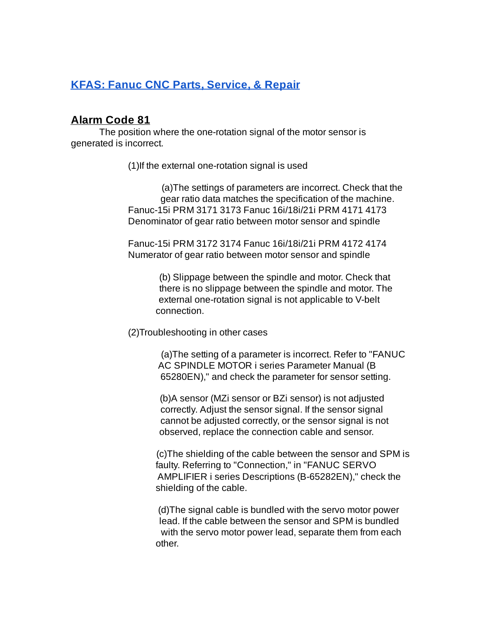#### **Alarm Code 81**

The position where the one-rotation signal of the motor sensor is generated is incorrect.

(1)If the external one-rotation signal is used

(a)The settings of parameters are incorrect. Check that the gear ratio data matches the specification of the machine. Fanuc-15i PRM 3171 3173 Fanuc 16i/18i/21i PRM 4171 4173 Denominator of gear ratio between motor sensor and spindle

Fanuc-15i PRM 3172 3174 Fanuc 16i/18i/21i PRM 4172 4174 Numerator of gear ratio between motor sensor and spindle

> (b) Slippage between the spindle and motor. Check that there is no slippage between the spindle and motor. The external one-rotation signal is not applicable to V-belt connection.

(2)Troubleshooting in other cases

(a)The setting of a parameter is incorrect. Refer to "FANUC AC SPINDLE MOTOR i series Parameter Manual (B 65280EN)," and check the parameter for sensor setting.

(b)A sensor (MZi sensor or BZi sensor) is not adjusted correctly. Adjust the sensor signal. If the sensor signal cannot be adjusted correctly, or the sensor signal is not observed, replace the connection cable and sensor.

(c)The shielding of the cable between the sensor and SPM is faulty. Referring to "Connection," in "FANUC SERVO AMPLIFIER i series Descriptions (B-65282EN)," check the shielding of the cable.

(d)The signal cable is bundled with the servo motor power lead. If the cable between the sensor and SPM is bundled with the servo motor power lead, separate them from each other.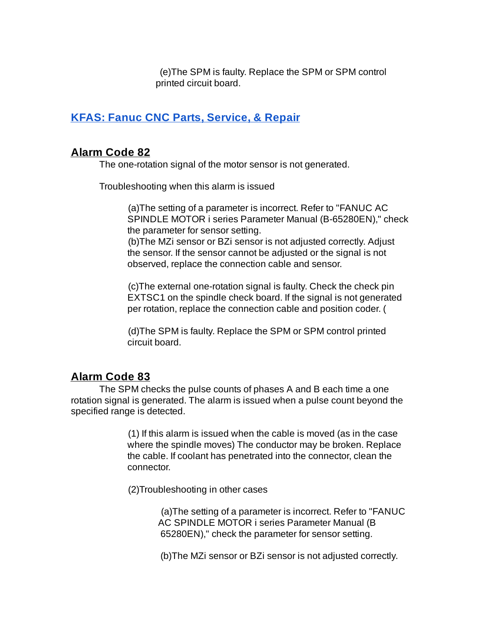(e)The SPM is faulty. Replace the SPM or SPM control printed circuit board.

# **KFAS: Fanuc CNC Parts, [Service,](http://kfasllc.com/default.htm) & Repair**

### **Alarm Code 82**

The one-rotation signal of the motor sensor is not generated.

Troubleshooting when this alarm is issued

(a)The setting of a parameter is incorrect. Refer to "FANUC AC SPINDLE MOTOR i series Parameter Manual (B-65280EN)," check the parameter for sensor setting.

(b)The MZi sensor or BZi sensor is not adjusted correctly. Adjust the sensor. If the sensor cannot be adjusted or the signal is not observed, replace the connection cable and sensor.

(c)The external one-rotation signal is faulty. Check the check pin EXTSC1 on the spindle check board. If the signal is not generated per rotation, replace the connection cable and position coder. (

(d)The SPM is faulty. Replace the SPM or SPM control printed circuit board.

# **Alarm Code 83**

The SPM checks the pulse counts of phases A and B each time a one rotation signal is generated. The alarm is issued when a pulse count beyond the specified range is detected.

> (1) If this alarm is issued when the cable is moved (as in the case where the spindle moves) The conductor may be broken. Replace the cable. If coolant has penetrated into the connector, clean the connector.

(2)Troubleshooting in other cases

(a)The setting of a parameter is incorrect. Refer to "FANUC AC SPINDLE MOTOR i series Parameter Manual (B 65280EN)," check the parameter for sensor setting.

(b)The MZi sensor or BZi sensor is not adjusted correctly.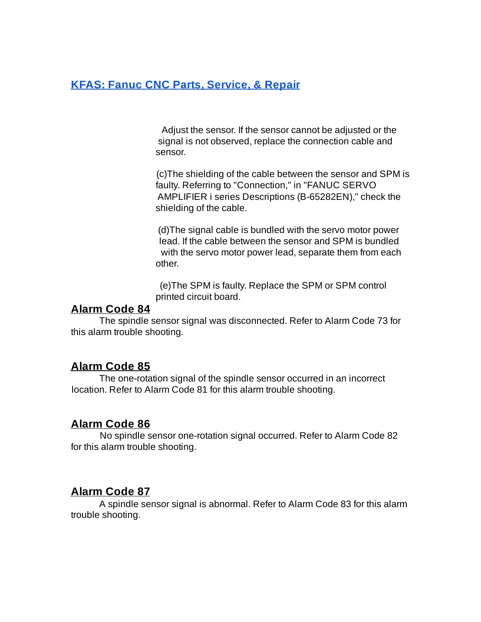Adjust the sensor. If the sensor cannot be adjusted or the signal is not observed, replace the connection cable and sensor.

(c)The shielding of the cable between the sensor and SPM is faulty. Referring to "Connection," in "FANUC SERVO AMPLIFIER i series Descriptions (B-65282EN)," check the shielding of the cable.

(d)The signal cable is bundled with the servo motor power lead. If the cable between the sensor and SPM is bundled with the servo motor power lead, separate them from each other.

(e)The SPM is faulty. Replace the SPM or SPM control printed circuit board.

#### **Alarm Code 84**

The spindle sensor signal was disconnected. Refer to Alarm Code 73 for this alarm trouble shooting.

# **Alarm Code 85**

The one-rotation signal of the spindle sensor occurred in an incorrect location. Refer to Alarm Code 81 for this alarm trouble shooting.

# **Alarm Code 86**

No spindle sensor one-rotation signal occurred. Refer to Alarm Code 82 for this alarm trouble shooting.

# **Alarm Code 87**

A spindle sensor signal is abnormal. Refer to Alarm Code 83 for this alarm trouble shooting.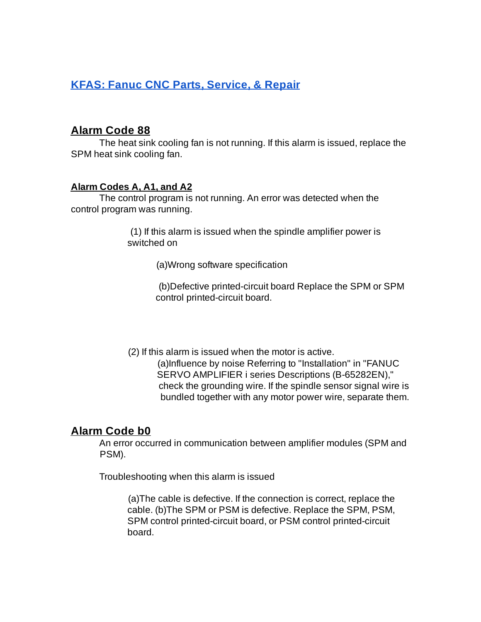#### **Alarm Code 88**

The heat sink cooling fan is not running. If this alarm is issued, replace the SPM heat sink cooling fan.

#### **Alarm Codes A, A1, and A2**

The control program is not running. An error was detected when the control program was running.

> (1) If this alarm is issued when the spindle amplifier power is switched on

> > (a)Wrong software specification

(b)Defective printed-circuit board Replace the SPM or SPM control printed-circuit board.

(2) If this alarm is issued when the motor is active. (a)Influence by noise Referring to "Installation" in "FANUC SERVO AMPLIFIER i series Descriptions (B-65282EN)," check the grounding wire. If the spindle sensor signal wire is bundled together with any motor power wire, separate them.

### **Alarm Code b0**

An error occurred in communication between amplifier modules (SPM and PSM).

Troubleshooting when this alarm is issued

(a)The cable is defective. If the connection is correct, replace the cable. (b)The SPM or PSM is defective. Replace the SPM, PSM, SPM control printed-circuit board, or PSM control printed-circuit board.